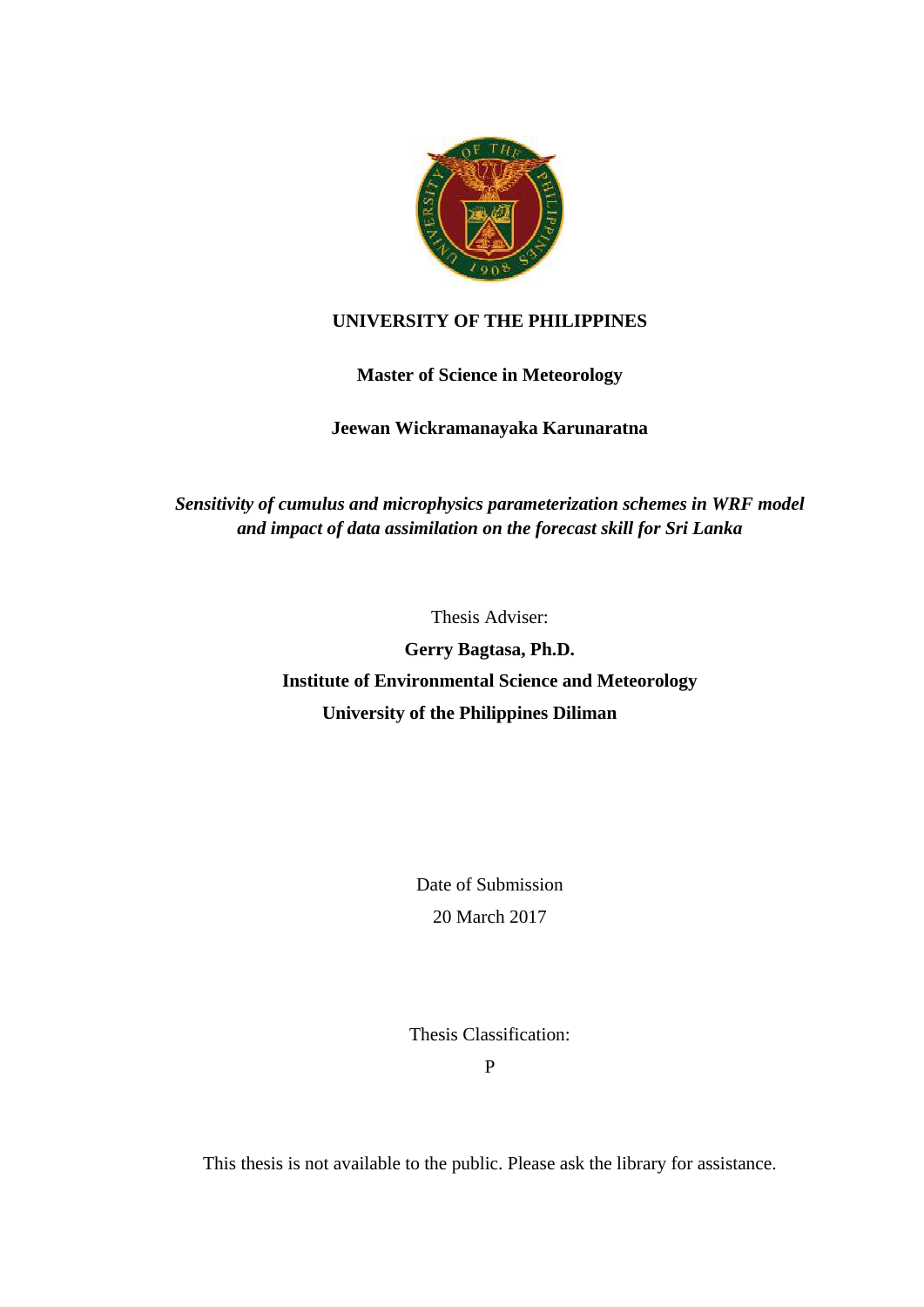

## **UNIVERSITY OF THE PHILIPPINES**

## **Master of Science in Meteorology**

## **Jeewan Wickramanayaka Karunaratna**

# *Sensitivity of cumulus and microphysics parameterization schemes in WRF model and impact of data assimilation on the forecast skill for Sri Lanka*

Thesis Adviser:

**Gerry Bagtasa, Ph.D. Institute of Environmental Science and Meteorology University of the Philippines Diliman**

> Date of Submission 20 March 2017

Thesis Classification:

P

This thesis is not available to the public. Please ask the library for assistance.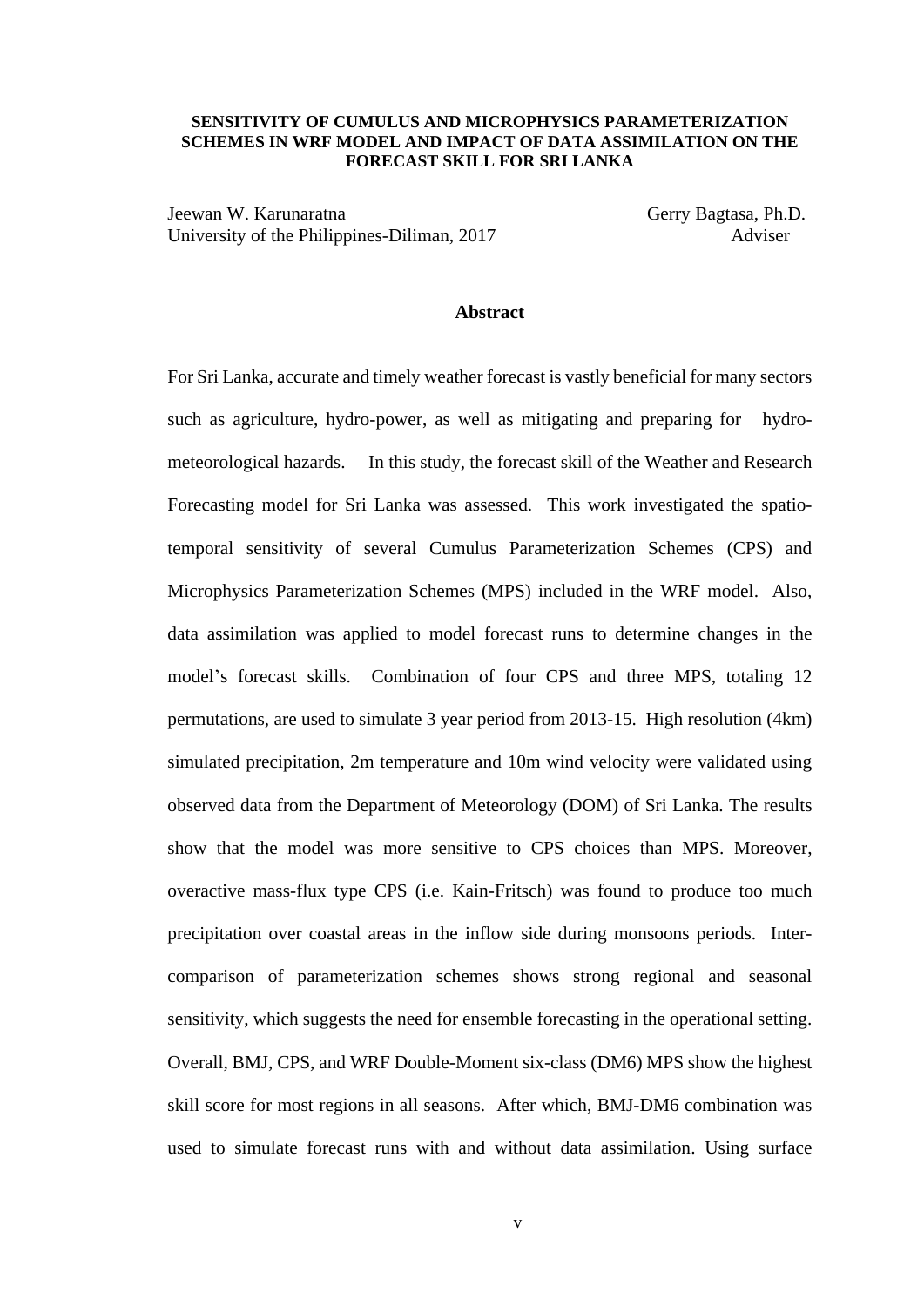### **SENSITIVITY OF CUMULUS AND MICROPHYSICS PARAMETERIZATION SCHEMES IN WRF MODEL AND IMPACT OF DATA ASSIMILATION ON THE FORECAST SKILL FOR SRI LANKA**

Jeewan W. Karunaratna Gerry Bagtasa, Ph.D. University of the Philippines-Diliman, 2017 Adviser

#### **Abstract**

For Sri Lanka, accurate and timely weather forecast is vastly beneficial for many sectors such as agriculture, hydro-power, as well as mitigating and preparing for hydrometeorological hazards. In this study, the forecast skill of the Weather and Research Forecasting model for Sri Lanka was assessed. This work investigated the spatiotemporal sensitivity of several Cumulus Parameterization Schemes (CPS) and Microphysics Parameterization Schemes (MPS) included in the WRF model. Also, data assimilation was applied to model forecast runs to determine changes in the model's forecast skills. Combination of four CPS and three MPS, totaling 12 permutations, are used to simulate 3 year period from 2013-15. High resolution (4km) simulated precipitation, 2m temperature and 10m wind velocity were validated using observed data from the Department of Meteorology (DOM) of Sri Lanka. The results show that the model was more sensitive to CPS choices than MPS. Moreover, overactive mass-flux type CPS (i.e. Kain-Fritsch) was found to produce too much precipitation over coastal areas in the inflow side during monsoons periods. Intercomparison of parameterization schemes shows strong regional and seasonal sensitivity, which suggests the need for ensemble forecasting in the operational setting. Overall, BMJ, CPS, and WRF Double-Moment six-class (DM6) MPS show the highest skill score for most regions in all seasons. After which, BMJ-DM6 combination was used to simulate forecast runs with and without data assimilation. Using surface